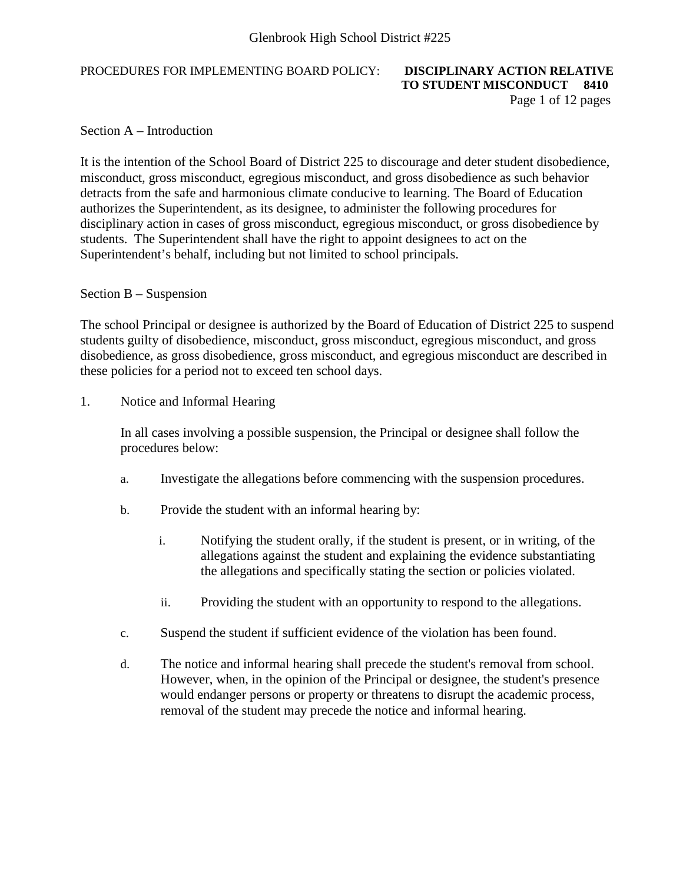### PROCEDURES FOR IMPLEMENTING BOARD POLICY: **DISCIPLINARY ACTION RELATIVE**

# **TO STUDENT MISCONDUCT 8410** Page 1 of 12 pages

Section A – Introduction

It is the intention of the School Board of District 225 to discourage and deter student disobedience, misconduct, gross misconduct, egregious misconduct, and gross disobedience as such behavior detracts from the safe and harmonious climate conducive to learning. The Board of Education authorizes the Superintendent, as its designee, to administer the following procedures for disciplinary action in cases of gross misconduct, egregious misconduct, or gross disobedience by students. The Superintendent shall have the right to appoint designees to act on the Superintendent's behalf, including but not limited to school principals.

### Section B – Suspension

The school Principal or designee is authorized by the Board of Education of District 225 to suspend students guilty of disobedience, misconduct, gross misconduct, egregious misconduct, and gross disobedience, as gross disobedience, gross misconduct, and egregious misconduct are described in these policies for a period not to exceed ten school days.

1. Notice and Informal Hearing

In all cases involving a possible suspension, the Principal or designee shall follow the procedures below:

- a. Investigate the allegations before commencing with the suspension procedures.
- b. Provide the student with an informal hearing by:
	- i. Notifying the student orally, if the student is present, or in writing, of the allegations against the student and explaining the evidence substantiating the allegations and specifically stating the section or policies violated.
	- ii. Providing the student with an opportunity to respond to the allegations.
- c. Suspend the student if sufficient evidence of the violation has been found.
- d. The notice and informal hearing shall precede the student's removal from school. However, when, in the opinion of the Principal or designee, the student's presence would endanger persons or property or threatens to disrupt the academic process, removal of the student may precede the notice and informal hearing.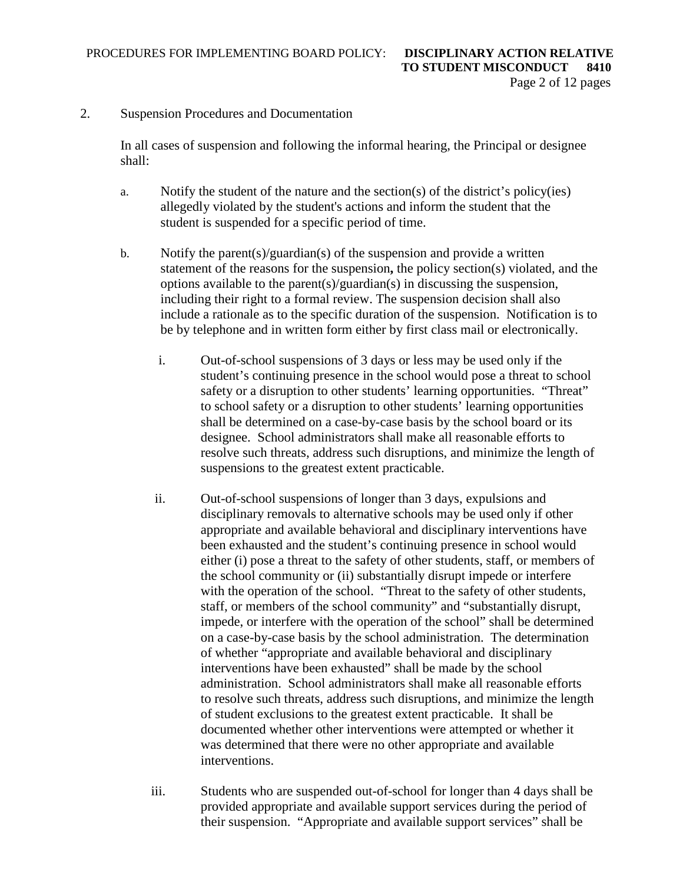2. Suspension Procedures and Documentation

In all cases of suspension and following the informal hearing, the Principal or designee shall:

- a. Notify the student of the nature and the section(s) of the district's policy(ies) allegedly violated by the student's actions and inform the student that the student is suspended for a specific period of time.
- b. Notify the parent(s)/guardian(s) of the suspension and provide a written statement of the reasons for the suspension**,** the policy section(s) violated, and the options available to the parent(s)/guardian(s) in discussing the suspension, including their right to a formal review. The suspension decision shall also include a rationale as to the specific duration of the suspension. Notification is to be by telephone and in written form either by first class mail or electronically.
	- i. Out-of-school suspensions of 3 days or less may be used only if the student's continuing presence in the school would pose a threat to school safety or a disruption to other students' learning opportunities. "Threat" to school safety or a disruption to other students' learning opportunities shall be determined on a case-by-case basis by the school board or its designee. School administrators shall make all reasonable efforts to resolve such threats, address such disruptions, and minimize the length of suspensions to the greatest extent practicable.
	- ii. Out-of-school suspensions of longer than 3 days, expulsions and disciplinary removals to alternative schools may be used only if other appropriate and available behavioral and disciplinary interventions have been exhausted and the student's continuing presence in school would either (i) pose a threat to the safety of other students, staff, or members of the school community or (ii) substantially disrupt impede or interfere with the operation of the school. "Threat to the safety of other students, staff, or members of the school community" and "substantially disrupt, impede, or interfere with the operation of the school" shall be determined on a case-by-case basis by the school administration. The determination of whether "appropriate and available behavioral and disciplinary interventions have been exhausted" shall be made by the school administration. School administrators shall make all reasonable efforts to resolve such threats, address such disruptions, and minimize the length of student exclusions to the greatest extent practicable. It shall be documented whether other interventions were attempted or whether it was determined that there were no other appropriate and available interventions.
	- iii. Students who are suspended out-of-school for longer than 4 days shall be provided appropriate and available support services during the period of their suspension. "Appropriate and available support services" shall be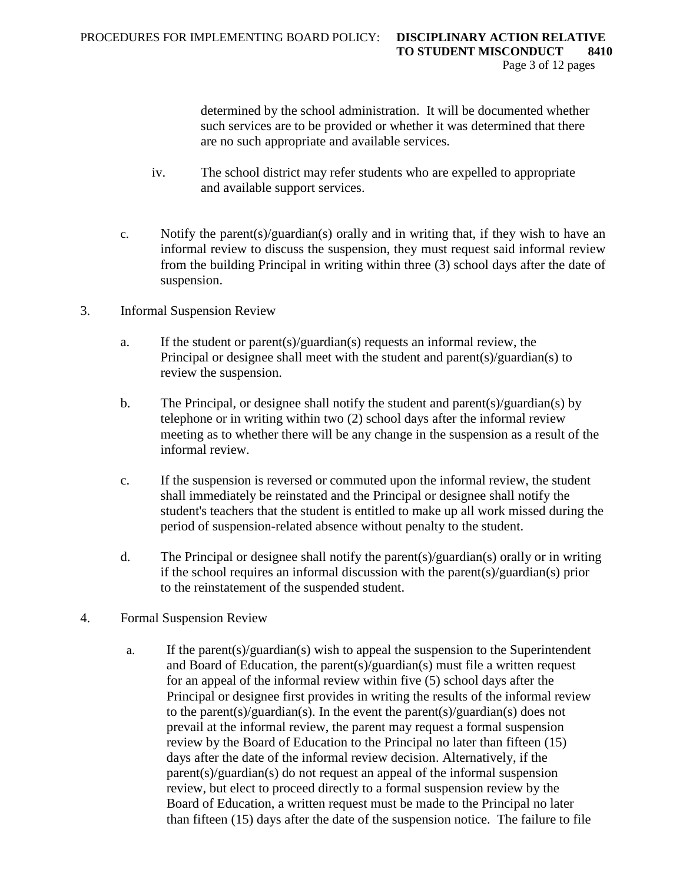determined by the school administration. It will be documented whether such services are to be provided or whether it was determined that there are no such appropriate and available services.

- iv. The school district may refer students who are expelled to appropriate and available support services.
- c. Notify the parent(s)/guardian(s) orally and in writing that, if they wish to have an informal review to discuss the suspension, they must request said informal review from the building Principal in writing within three (3) school days after the date of suspension.
- 3. Informal Suspension Review
	- a. If the student or parent(s)/guardian(s) requests an informal review, the Principal or designee shall meet with the student and parent(s)/guardian(s) to review the suspension.
	- b. The Principal, or designee shall notify the student and parent(s)/guardian(s) by telephone or in writing within two (2) school days after the informal review meeting as to whether there will be any change in the suspension as a result of the informal review.
	- c. If the suspension is reversed or commuted upon the informal review, the student shall immediately be reinstated and the Principal or designee shall notify the student's teachers that the student is entitled to make up all work missed during the period of suspension-related absence without penalty to the student.
	- d. The Principal or designee shall notify the parent(s)/guardian(s) orally or in writing if the school requires an informal discussion with the parent(s)/guardian(s) prior to the reinstatement of the suspended student.
- 4. Formal Suspension Review
	- a. If the parent(s)/guardian(s) wish to appeal the suspension to the Superintendent and Board of Education, the parent(s)/guardian(s) must file a written request for an appeal of the informal review within five (5) school days after the Principal or designee first provides in writing the results of the informal review to the parent(s)/guardian(s). In the event the parent(s)/guardian(s) does not prevail at the informal review, the parent may request a formal suspension review by the Board of Education to the Principal no later than fifteen (15) days after the date of the informal review decision. Alternatively, if the parent(s)/guardian(s) do not request an appeal of the informal suspension review, but elect to proceed directly to a formal suspension review by the Board of Education, a written request must be made to the Principal no later than fifteen (15) days after the date of the suspension notice. The failure to file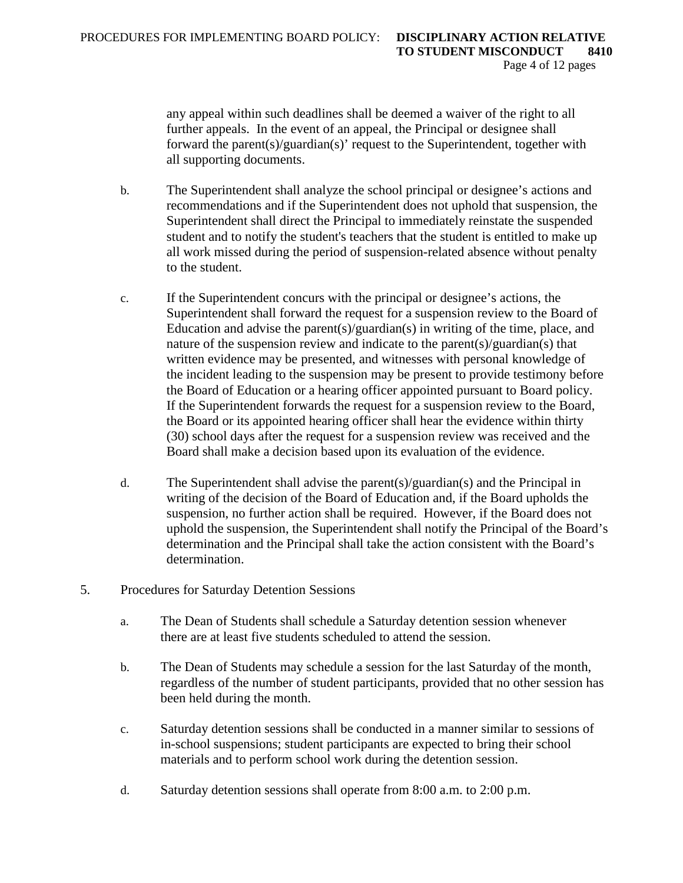any appeal within such deadlines shall be deemed a waiver of the right to all further appeals. In the event of an appeal, the Principal or designee shall forward the parent(s)/guardian(s)' request to the Superintendent, together with all supporting documents.

- b. The Superintendent shall analyze the school principal or designee's actions and recommendations and if the Superintendent does not uphold that suspension, the Superintendent shall direct the Principal to immediately reinstate the suspended student and to notify the student's teachers that the student is entitled to make up all work missed during the period of suspension-related absence without penalty to the student.
- c. If the Superintendent concurs with the principal or designee's actions, the Superintendent shall forward the request for a suspension review to the Board of Education and advise the parent(s)/guardian(s) in writing of the time, place, and nature of the suspension review and indicate to the parent(s)/guardian(s) that written evidence may be presented, and witnesses with personal knowledge of the incident leading to the suspension may be present to provide testimony before the Board of Education or a hearing officer appointed pursuant to Board policy. If the Superintendent forwards the request for a suspension review to the Board, the Board or its appointed hearing officer shall hear the evidence within thirty (30) school days after the request for a suspension review was received and the Board shall make a decision based upon its evaluation of the evidence.
- d. The Superintendent shall advise the parent(s)/guardian(s) and the Principal in writing of the decision of the Board of Education and, if the Board upholds the suspension, no further action shall be required. However, if the Board does not uphold the suspension, the Superintendent shall notify the Principal of the Board's determination and the Principal shall take the action consistent with the Board's determination.
- 5. Procedures for Saturday Detention Sessions
	- a. The Dean of Students shall schedule a Saturday detention session whenever there are at least five students scheduled to attend the session.
	- b. The Dean of Students may schedule a session for the last Saturday of the month, regardless of the number of student participants, provided that no other session has been held during the month.
	- c. Saturday detention sessions shall be conducted in a manner similar to sessions of in-school suspensions; student participants are expected to bring their school materials and to perform school work during the detention session.
	- d. Saturday detention sessions shall operate from 8:00 a.m. to 2:00 p.m.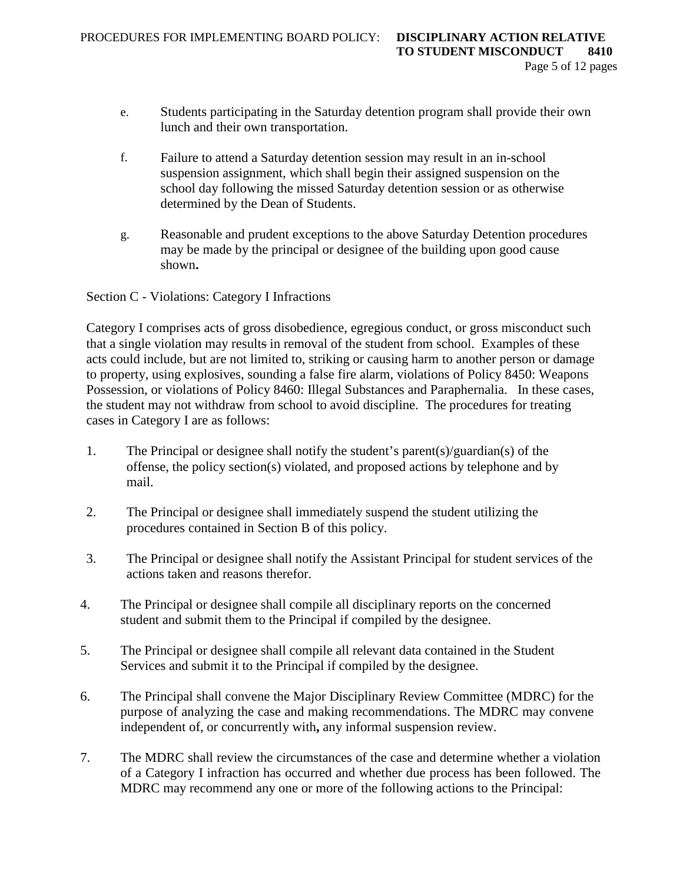- e. Students participating in the Saturday detention program shall provide their own lunch and their own transportation.
- f. Failure to attend a Saturday detention session may result in an in-school suspension assignment, which shall begin their assigned suspension on the school day following the missed Saturday detention session or as otherwise determined by the Dean of Students.
- g. Reasonable and prudent exceptions to the above Saturday Detention procedures may be made by the principal or designee of the building upon good cause shown**.**

Section C - Violations: Category I Infractions

Category I comprises acts of gross disobedience, egregious conduct, or gross misconduct such that a single violation may results in removal of the student from school. Examples of these acts could include, but are not limited to, striking or causing harm to another person or damage to property, using explosives, sounding a false fire alarm, violations of Policy 8450: Weapons Possession, or violations of Policy 8460: Illegal Substances and Paraphernalia. In these cases, the student may not withdraw from school to avoid discipline. The procedures for treating cases in Category I are as follows:

- 1. The Principal or designee shall notify the student's parent(s)/guardian(s) of the offense, the policy section(s) violated, and proposed actions by telephone and by mail.
- 2. The Principal or designee shall immediately suspend the student utilizing the procedures contained in Section B of this policy.
- 3. The Principal or designee shall notify the Assistant Principal for student services of the actions taken and reasons therefor.
- 4. The Principal or designee shall compile all disciplinary reports on the concerned student and submit them to the Principal if compiled by the designee.
- 5. The Principal or designee shall compile all relevant data contained in the Student Services and submit it to the Principal if compiled by the designee.
- 6. The Principal shall convene the Major Disciplinary Review Committee (MDRC) for the purpose of analyzing the case and making recommendations. The MDRC may convene independent of, or concurrently with**,** any informal suspension review.
- 7. The MDRC shall review the circumstances of the case and determine whether a violation of a Category I infraction has occurred and whether due process has been followed. The MDRC may recommend any one or more of the following actions to the Principal: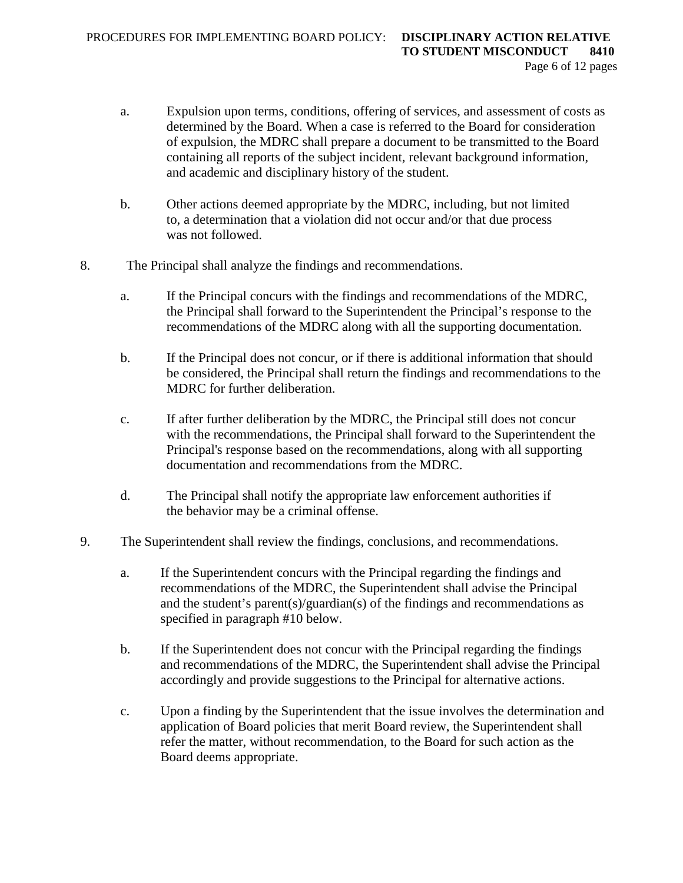- a. Expulsion upon terms, conditions, offering of services, and assessment of costs as determined by the Board. When a case is referred to the Board for consideration of expulsion, the MDRC shall prepare a document to be transmitted to the Board containing all reports of the subject incident, relevant background information, and academic and disciplinary history of the student.
- b. Other actions deemed appropriate by the MDRC, including, but not limited to, a determination that a violation did not occur and/or that due process was not followed.
- 8. The Principal shall analyze the findings and recommendations.
	- a. If the Principal concurs with the findings and recommendations of the MDRC, the Principal shall forward to the Superintendent the Principal's response to the recommendations of the MDRC along with all the supporting documentation.
	- b. If the Principal does not concur, or if there is additional information that should be considered, the Principal shall return the findings and recommendations to the MDRC for further deliberation.
	- c. If after further deliberation by the MDRC, the Principal still does not concur with the recommendations, the Principal shall forward to the Superintendent the Principal's response based on the recommendations, along with all supporting documentation and recommendations from the MDRC.
	- d. The Principal shall notify the appropriate law enforcement authorities if the behavior may be a criminal offense.
- 9. The Superintendent shall review the findings, conclusions, and recommendations.
	- a. If the Superintendent concurs with the Principal regarding the findings and recommendations of the MDRC, the Superintendent shall advise the Principal and the student's parent(s)/guardian(s) of the findings and recommendations as specified in paragraph #10 below.
	- b. If the Superintendent does not concur with the Principal regarding the findings and recommendations of the MDRC, the Superintendent shall advise the Principal accordingly and provide suggestions to the Principal for alternative actions.
	- c. Upon a finding by the Superintendent that the issue involves the determination and application of Board policies that merit Board review, the Superintendent shall refer the matter, without recommendation, to the Board for such action as the Board deems appropriate.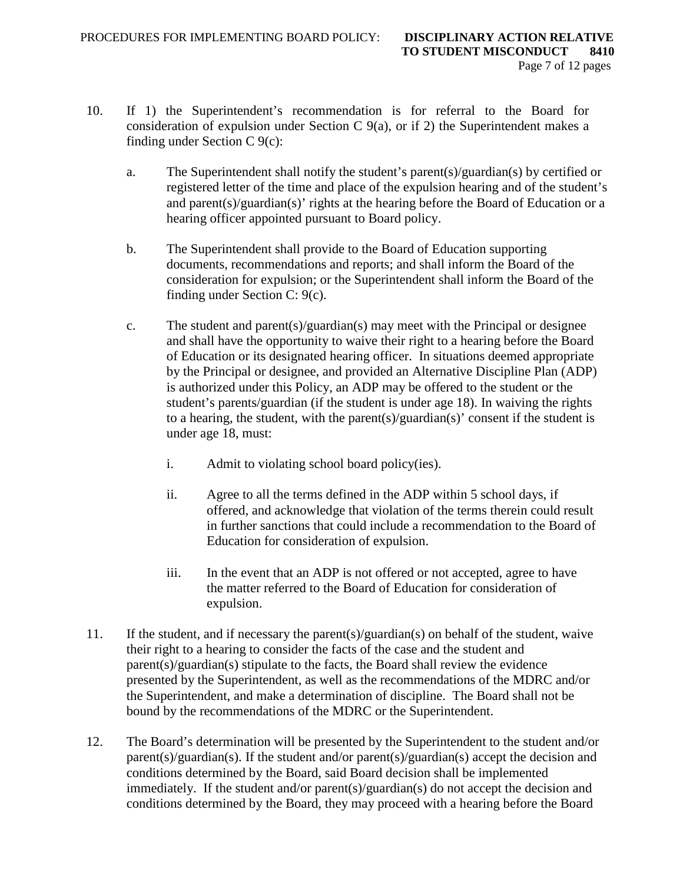- 10. If 1) the Superintendent's recommendation is for referral to the Board for consideration of expulsion under Section C 9(a), or if 2) the Superintendent makes a finding under Section C 9(c):
	- a. The Superintendent shall notify the student's parent(s)/guardian(s) by certified or registered letter of the time and place of the expulsion hearing and of the student's and parent(s)/guardian(s)' rights at the hearing before the Board of Education or a hearing officer appointed pursuant to Board policy.
	- b. The Superintendent shall provide to the Board of Education supporting documents, recommendations and reports; and shall inform the Board of the consideration for expulsion; or the Superintendent shall inform the Board of the finding under Section C: 9(c).
	- c. The student and parent(s)/guardian(s) may meet with the Principal or designee and shall have the opportunity to waive their right to a hearing before the Board of Education or its designated hearing officer. In situations deemed appropriate by the Principal or designee, and provided an Alternative Discipline Plan (ADP) is authorized under this Policy, an ADP may be offered to the student or the student's parents/guardian (if the student is under age 18). In waiving the rights to a hearing, the student, with the parent(s)/guardian(s)' consent if the student is under age 18, must:
		- i. Admit to violating school board policy(ies).
		- ii. Agree to all the terms defined in the ADP within 5 school days, if offered, and acknowledge that violation of the terms therein could result in further sanctions that could include a recommendation to the Board of Education for consideration of expulsion.
		- iii. In the event that an ADP is not offered or not accepted, agree to have the matter referred to the Board of Education for consideration of expulsion.
- 11. If the student, and if necessary the parent(s)/guardian(s) on behalf of the student, waive their right to a hearing to consider the facts of the case and the student and parent(s)/guardian(s) stipulate to the facts, the Board shall review the evidence presented by the Superintendent, as well as the recommendations of the MDRC and/or the Superintendent, and make a determination of discipline. The Board shall not be bound by the recommendations of the MDRC or the Superintendent.
- 12. The Board's determination will be presented by the Superintendent to the student and/or  $parent(s)/quantian(s)$ . If the student and/or parent(s)/guardian(s) accept the decision and conditions determined by the Board, said Board decision shall be implemented immediately. If the student and/or parent(s)/guardian(s) do not accept the decision and conditions determined by the Board, they may proceed with a hearing before the Board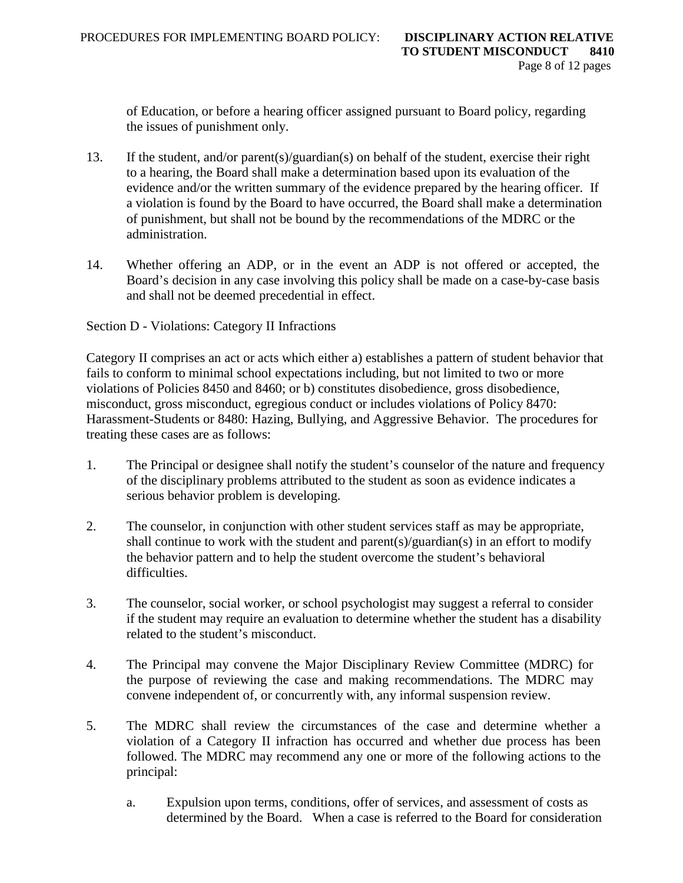of Education, or before a hearing officer assigned pursuant to Board policy, regarding the issues of punishment only.

- 13. If the student, and/or parent(s)/guardian(s) on behalf of the student, exercise their right to a hearing, the Board shall make a determination based upon its evaluation of the evidence and/or the written summary of the evidence prepared by the hearing officer. If a violation is found by the Board to have occurred, the Board shall make a determination of punishment, but shall not be bound by the recommendations of the MDRC or the administration.
- 14. Whether offering an ADP, or in the event an ADP is not offered or accepted, the Board's decision in any case involving this policy shall be made on a case-by-case basis and shall not be deemed precedential in effect.

Section D - Violations: Category II Infractions

Category II comprises an act or acts which either a) establishes a pattern of student behavior that fails to conform to minimal school expectations including, but not limited to two or more violations of Policies 8450 and 8460; or b) constitutes disobedience, gross disobedience, misconduct, gross misconduct, egregious conduct or includes violations of Policy 8470: Harassment-Students or 8480: Hazing, Bullying, and Aggressive Behavior. The procedures for treating these cases are as follows:

- 1. The Principal or designee shall notify the student's counselor of the nature and frequency of the disciplinary problems attributed to the student as soon as evidence indicates a serious behavior problem is developing.
- 2. The counselor, in conjunction with other student services staff as may be appropriate, shall continue to work with the student and parent(s)/guardian(s) in an effort to modify the behavior pattern and to help the student overcome the student's behavioral difficulties.
- 3. The counselor, social worker, or school psychologist may suggest a referral to consider if the student may require an evaluation to determine whether the student has a disability related to the student's misconduct.
- 4. The Principal may convene the Major Disciplinary Review Committee (MDRC) for the purpose of reviewing the case and making recommendations. The MDRC may convene independent of, or concurrently with, any informal suspension review.
- 5. The MDRC shall review the circumstances of the case and determine whether a violation of a Category II infraction has occurred and whether due process has been followed. The MDRC may recommend any one or more of the following actions to the principal:
	- a. Expulsion upon terms, conditions, offer of services, and assessment of costs as determined by the Board. When a case is referred to the Board for consideration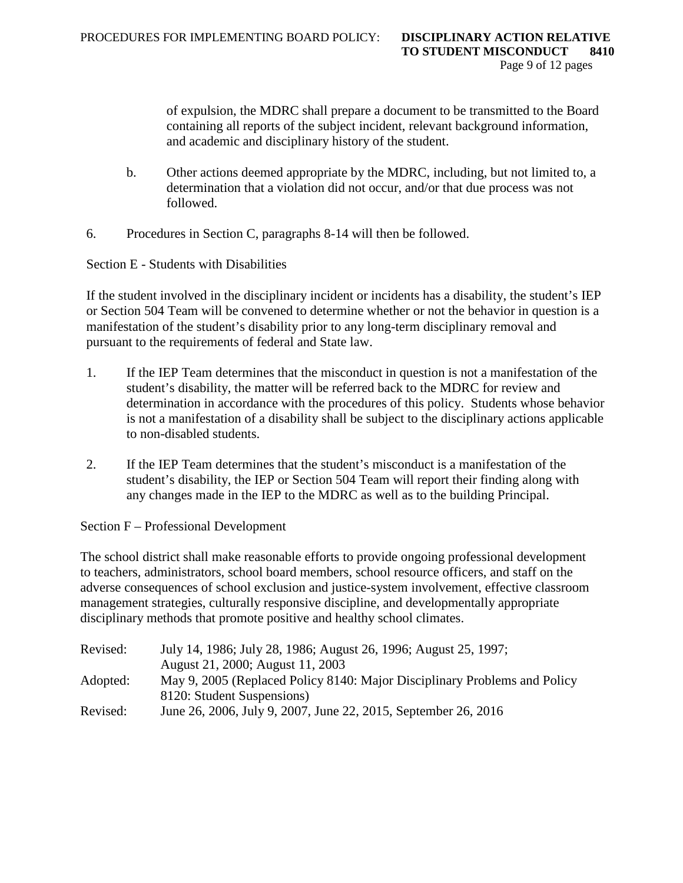of expulsion, the MDRC shall prepare a document to be transmitted to the Board containing all reports of the subject incident, relevant background information, and academic and disciplinary history of the student.

- b. Other actions deemed appropriate by the MDRC, including, but not limited to, a determination that a violation did not occur, and/or that due process was not followed.
- 6. Procedures in Section C, paragraphs 8-14 will then be followed.

Section E - Students with Disabilities

If the student involved in the disciplinary incident or incidents has a disability, the student's IEP or Section 504 Team will be convened to determine whether or not the behavior in question is a manifestation of the student's disability prior to any long-term disciplinary removal and pursuant to the requirements of federal and State law.

- 1. If the IEP Team determines that the misconduct in question is not a manifestation of the student's disability, the matter will be referred back to the MDRC for review and determination in accordance with the procedures of this policy. Students whose behavior is not a manifestation of a disability shall be subject to the disciplinary actions applicable to non-disabled students.
- 2. If the IEP Team determines that the student's misconduct is a manifestation of the student's disability, the IEP or Section 504 Team will report their finding along with any changes made in the IEP to the MDRC as well as to the building Principal.

Section F – Professional Development

The school district shall make reasonable efforts to provide ongoing professional development to teachers, administrators, school board members, school resource officers, and staff on the adverse consequences of school exclusion and justice-system involvement, effective classroom management strategies, culturally responsive discipline, and developmentally appropriate disciplinary methods that promote positive and healthy school climates.

| Revised: | July 14, 1986; July 28, 1986; August 26, 1996; August 25, 1997;           |
|----------|---------------------------------------------------------------------------|
|          | August 21, 2000; August 11, 2003                                          |
| Adopted: | May 9, 2005 (Replaced Policy 8140: Major Disciplinary Problems and Policy |
|          | 8120: Student Suspensions)                                                |
| Revised: | June 26, 2006, July 9, 2007, June 22, 2015, September 26, 2016            |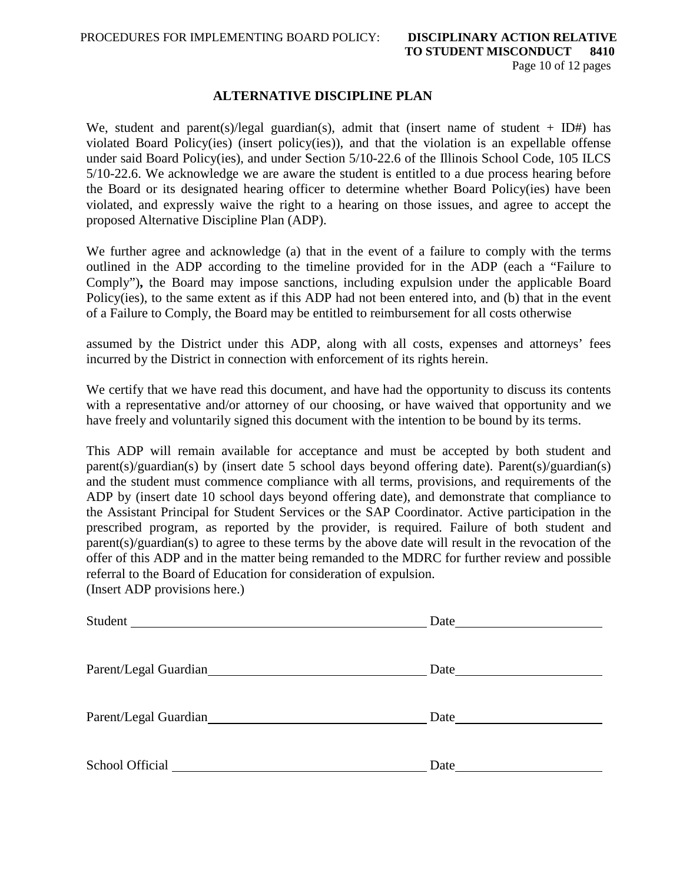### **ALTERNATIVE DISCIPLINE PLAN**

We, student and parent(s)/legal guardian(s), admit that (insert name of student + ID#) has violated Board Policy(ies) (insert policy(ies)), and that the violation is an expellable offense under said Board Policy(ies), and under Section 5/10-22.6 of the Illinois School Code, 105 ILCS 5/10-22.6. We acknowledge we are aware the student is entitled to a due process hearing before the Board or its designated hearing officer to determine whether Board Policy(ies) have been violated, and expressly waive the right to a hearing on those issues, and agree to accept the proposed Alternative Discipline Plan (ADP).

We further agree and acknowledge (a) that in the event of a failure to comply with the terms outlined in the ADP according to the timeline provided for in the ADP (each a "Failure to Comply")**,** the Board may impose sanctions, including expulsion under the applicable Board Policy(ies), to the same extent as if this ADP had not been entered into, and (b) that in the event of a Failure to Comply, the Board may be entitled to reimbursement for all costs otherwise

assumed by the District under this ADP, along with all costs, expenses and attorneys' fees incurred by the District in connection with enforcement of its rights herein.

We certify that we have read this document, and have had the opportunity to discuss its contents with a representative and/or attorney of our choosing, or have waived that opportunity and we have freely and voluntarily signed this document with the intention to be bound by its terms.

This ADP will remain available for acceptance and must be accepted by both student and parent(s)/guardian(s) by (insert date 5 school days beyond offering date). Parent(s)/guardian(s) and the student must commence compliance with all terms, provisions, and requirements of the ADP by (insert date 10 school days beyond offering date), and demonstrate that compliance to the Assistant Principal for Student Services or the SAP Coordinator. Active participation in the prescribed program, as reported by the provider, is required. Failure of both student and parent(s)/guardian(s) to agree to these terms by the above date will result in the revocation of the offer of this ADP and in the matter being remanded to the MDRC for further review and possible referral to the Board of Education for consideration of expulsion. (Insert ADP provisions here.)

| Student               |      |
|-----------------------|------|
| Parent/Legal Guardian |      |
| Parent/Legal Guardian |      |
| School Official       | Date |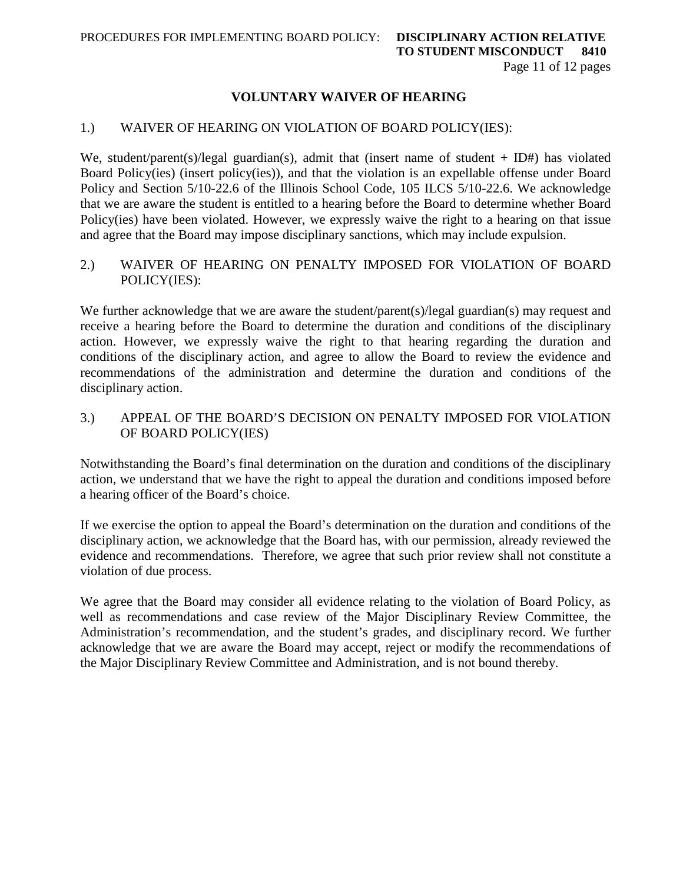## **VOLUNTARY WAIVER OF HEARING**

#### 1.) WAIVER OF HEARING ON VIOLATION OF BOARD POLICY(IES):

We, student/parent(s)/legal guardian(s), admit that (insert name of student + ID#) has violated Board Policy(ies) (insert policy(ies)), and that the violation is an expellable offense under Board Policy and Section 5/10-22.6 of the Illinois School Code, 105 ILCS 5/10-22.6. We acknowledge that we are aware the student is entitled to a hearing before the Board to determine whether Board Policy(ies) have been violated. However, we expressly waive the right to a hearing on that issue and agree that the Board may impose disciplinary sanctions, which may include expulsion.

2.) WAIVER OF HEARING ON PENALTY IMPOSED FOR VIOLATION OF BOARD POLICY(IES):

We further acknowledge that we are aware the student/parent(s)/legal guardian(s) may request and receive a hearing before the Board to determine the duration and conditions of the disciplinary action. However, we expressly waive the right to that hearing regarding the duration and conditions of the disciplinary action, and agree to allow the Board to review the evidence and recommendations of the administration and determine the duration and conditions of the disciplinary action.

3.) APPEAL OF THE BOARD'S DECISION ON PENALTY IMPOSED FOR VIOLATION OF BOARD POLICY(IES)

Notwithstanding the Board's final determination on the duration and conditions of the disciplinary action, we understand that we have the right to appeal the duration and conditions imposed before a hearing officer of the Board's choice.

If we exercise the option to appeal the Board's determination on the duration and conditions of the disciplinary action, we acknowledge that the Board has, with our permission, already reviewed the evidence and recommendations. Therefore, we agree that such prior review shall not constitute a violation of due process.

We agree that the Board may consider all evidence relating to the violation of Board Policy, as well as recommendations and case review of the Major Disciplinary Review Committee, the Administration's recommendation, and the student's grades, and disciplinary record. We further acknowledge that we are aware the Board may accept, reject or modify the recommendations of the Major Disciplinary Review Committee and Administration, and is not bound thereby.